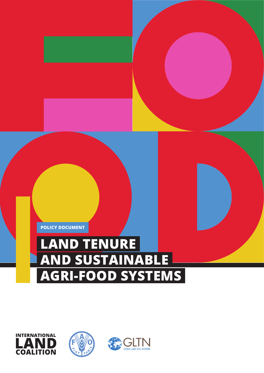

# **LAND TENURE AND SUSTAINABLE AGRI-FOOD SYSTEMS**



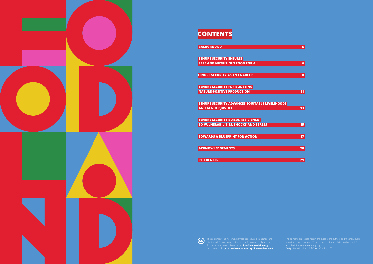

# **CONTENTS**

**[TENURE SECURITY ENSURES](#page-3-0)   [SAFE AND NUTRITIOUS FOOD FOR ALL](#page-3-0) 6**

 **[TENURE SECURITY FOR BOOSTING](#page-5-0)  NATURE-POSITIVE PRODUCTION** 11

 **[TENURE SECURITY ADVANCES EQUITABLE LIVELIHOODS](#page-6-0)  EXAMPLE AND GENDER JUSTICE** 13

**[TENURE SECURITY AS AN ENABLER](#page-4-0) 8**

 **[TENURE SECURITY BUILDS RESILIENCE](#page-7-0)  TO VULNERABILITIES, SHOCKS AND STRESS** 15

**TOWARDS A BLUEPRINT FOR ACTION 17** 

**ACKNOWLEDGEMENTS** 20





For more information, please contact **info@landcoalition.org** or browse to: **http://creativecommons.org/licenses/by-nc/4.0**

*Design*: [Federico Pinci.](http://www.federicopinci.info) *Published*: October, 2021.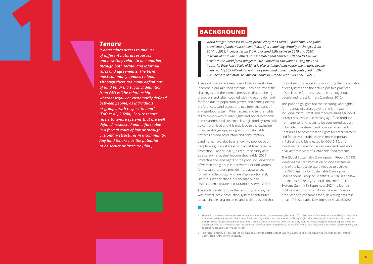### **BACKGROUND**

*World hunger increased in 2020, propelled by the COVID-19 pandemic. The global prevalence of undernourishment (PoU), after remaining virtually unchanged from 2014 to 2019, increased from 8.4% to around 9.9% between 2019 and 20201. In terms of absolute numbers, it is estimated that between 720 and 811 million people in the world faced hunger in 2020. Based on calculations using the Food Insecurity Experience Scale (FIES), it is also estimated that nearly one in three people in the world (2.37 billion) did not have year-round access to adequate food in 2020 – an increase of almost 320 million people in just one year (FAO et al., 20212).*

Land rights have also been shown to provide poor people living in rural areas with a first layer of social protection (Tanner, 2016), as tenure security acts as a safety net against income shocks (Ma, 2021). Protecting the land rights of the poor, including those of women and girls, in either written or non!written forms, can therefore provide more assurances for vulnerable groups who are disproportionately likely to suffer evictions, disinheritance and displacements (Payne and Durand-Lasserve, 2012).

These numbers are a reminder of the vulnerabilities inherent in our agri-food systems. They also reveal the challenges and the intense pressures that are being placed on land when coupled with increasing demand for food due to population growth and shifting dietary preferences. Land access and use form the basis of any agri-food system. When access and tenure rights fail to comply with human rights and social, economic and environmental sustainability, agri-food systems will be compromised and this may lead to the exclusion of vulnerable groups, along with unsustainable patterns of food production and consumption. to food security, while also supporting the preservation of ecosystems and the nature-positive practices of small-scale farmers, pastoralists, indigenous people and forest farmers (Landesa, 2012). This paper highlights too that securing land rights for the array of actors beyond the farm gate, including micro-, small and medium-sized agri-food enterprises involved in moving agri-food produce from farm to fork, needs to be considered as part of broader investment and policy environments. Continuing to promote land rights for small farmers and for the vulnerable is even more important in light of the crisis created by COVID-19, and investments made for the recovery and resilience of all actors in view of sustainable food systems.

The evidence also shows that ensuring land rights within small-scale production systems contributes to sustainable rural incomes and livelihoods and thus The Global Sustainable Development Report (2019) identified the transformation of food systems as one of the key accelerators needed to achieve the 2030 Agenda for Sustainable Development (Independent Group of Scientists, 2019). In a followup, the UN Secretary-General convened the Food Systems Summit in September 2021 "to launch bold new actions to transform the way the world produces and consumes food, delivering progress on all 17 Sustainable Development Goals (SDGs)".

#### <span id="page-2-0"></span>*Tenure*

*It determines access to and use of different natural resources and how they relate to one another, through both formal and informal rules and agreements. The term most commonly applies to land. Although there are many definitions of land tenure, a succinct definition from FAO is "the relationship, whether legally or customarily defined, between people, as individuals or groups, with respect to land" (FAO et al., 2020a). Secure tenure refers to tenure systems that are well defined, respected and enforceable in a formal court of law or through customary structures in a community. Any land tenure has the potential to be secure or insecure (Ibid.).*



<sup>1</sup> Depending on assumptions made to reflect uncertainties around the assessment (FAO et al., 2021). "Prevalence of undernourishment" (PoU), is one of two indicators used by the UN in its The State of Food Insecurity and Nutrition in the World (SOFI) report (Ibid.) for measuring food insecurity, the other one being the Food Insecurity Experience Scale (FIES). This is a statistical inference process used every year to estimate the global number of people who are undernourished. As stated by FAO (2014), undernourishment can be considered "as the extreme form of food insecurity, arising when even the mere caloric supply is inadequate to cover basic needs".

<sup>2</sup> The cost of a healthy diet exceeds the international poverty line (established at USD 1.90 purchasing power parity (PPP) per person per day), making it unaffordable for those living in poverty.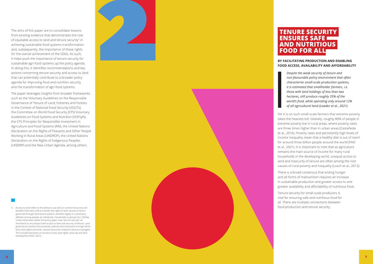### **TENURE SECURITY ENSURES SAFE AND NUTRITIOUS FOOD FOR ALL**

#### **BY FACILITATING PRODUCTION AND ENABLING FOOD ACCESS, AVAILABILITY AND AFFORDABILITY**

*Despite the weak security of tenure and non -favourable policy environment that often characterise small -scale production systems, it is estimated that smallholder farmers, i.e. those with land holdings of less than two hectares, still produce roughly 35% of the world's food, while operating only around 12% of all agricultural land (Lowder et al., 2021).* 

Yet it is on such small -scale farmers that extreme poverty takes the heaviest toll. Globally, roughly 80% of people in extreme poverty live in rural areas, where poverty rates are three times higher than in urban areas (Castañeda et al., 2016). Poverty rates and persistently high levels of income inequality mean that a healthy diet is out of reach for around three billion people around the world (FAO et al., 2021). It is important to note that as agriculture remains the main source of income for many rural households in the developing world, unequal access to land and insecurity of tenure are often among the root causes of rural poverty and inequality (Losch et al., 2012).

There is a broad consensus that ending hunger and all forms of malnutrition requires an increase in sustainable production and greater access to and greater availability and affordability of nutritious food.

Tenure security for small -scale producers is vital for ensuring safe and nutritious food for all. There are multiple connections between food production and tenure security.

<span id="page-3-0"></span>The aims of this paper are to consolidate lessons from existing evidence that demonstrates the role of equitable access to land and tenure security<sup>3</sup> in achieving sustainable food systems transformation and, subsequently, the importance of these rights for the overall achievement of the SDGs. As such, it helps push the importance of tenure security for sustainable agri -food systems up the policy agenda. In doing this, it identifies recommendations and key actions concerning tenure security and access to land that can potentially contribute to a broader policy agenda for improving food and nutrition security and the transformation of agri -food systems.

The paper leverages insights from broader frameworks such as the Voluntary Guidelines on the Responsible Governance of Tenure of Land, Fisheries and Forests in the Context of National Food Security (VGGTs), the Committee on World Food Security (CFS) Voluntary Guidelines on Food Systems and Nutrition (VGFSyN), the CFS Principles for Responsible Investment in Agriculture and Food Systems (RAI), the United Nations Declaration on the Rights of Peasants and Other People Working in Rural Areas (UNDROP), the United Nations Declaration on the Rights of Indigenous Peoples (UNDRIP) and the New Urban Agenda, among others.

3 Access to land refers to the ability to use land, to control resources and benefits from land, and to transfer the rights to land. Access to land is governed through land tenure systems, whether legally or customarily defined, among people, as individuals, households or groups (ILC, 2020a). Unless otherwise stated, this policy paper uses "tenure security" as shorthand to encompass both access to land and security of tenure. Land governance involves the processes, policies and institutions through which land, land rights and other natural resources related to land are managed. This includes decisions on access to land, land rights, land use and land development (FAO, 2021).

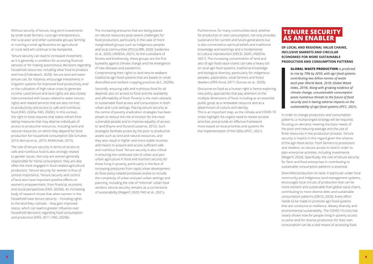Furthermore, for many communities land, whether for production or own consumption, not only provides sustenance for current and future generations but is also connected to spiritual beliefs and traditional knowledge and teachings and is fundamental to cultural reproduction (OECD, 2020; UNDESA, 2021). The increasing concentration of land and also of agri-food value chains can take a heavy toll on local agri-food systems, traditional knowledge and biological diversity, particularly for indigenous peoples, pastoralists, small farmers and forest dwellers (IPES-Food, 2017; Duncan et al., 2020).

Discourse on food as a human right is hence exploring new policy approaches that pay attention to the multiple dimensions of food, including as an essential public good, as a renewable resource and as a determinant of culture and identity. This is an important step, as the climate and COVID-19 crises highlight the urgent need to review societal priorities and provide an effective framework more based on local priorities and systems for the implementation of the SDGs (IPCC, 2021).

<span id="page-4-0"></span>Without security of tenure, long-term investments by small-scale farmers, rural agri-entrepreneurs, the rural poor and other vulnerable groups farming or running a small agribusiness on agricultural or rural land will continue to be hampered.

Tenure security can lead to increased investment, as it is generally a condition for accessing financial services or for making autonomous decisions regarding household resources, including what food to produce and how (Chakrabarti, 2020). Secure land and water tenure can, for instance, encourage investments in irrigation systems for improved food productivity and/ or the cultivation of high-value crops to generate income. Land tenure and land rights are also closely interconnected with issues related to water tenure, rights and related services that are also intrinsic to productivity and access to safe and nutritious food (FAO, 2020a; FAO, 2020c). In this context, the right to food requires that states refrain from taking measures that may deprive individuals of access to productive resources, including land and natural resources, on which they depend for food production for household consumption (De Schutter, 2010; Borras et al., 2015; McMichael, 2015).

The role of tenure security in terms of access to safe and nutritious food is also strongly related to gender issues. Not only are women generally responsible for home consumption; they are also often the most engaged in food-related agricultural production. Tenure security for women is thus of utmost importance. Tenure security and control of land also have important positive effects on women's empowerment, from financial, economic and social perspectives (FAO, 2020b). An increasing body of research shows that when women in the household have tenure security – including rights to the land they cultivate – they gain improved status, which can lead to greater influence over household decisions regarding food consumption and production (FAO, 2011; FAO, 2020b).

The increasing pressures that are being placed on natural resources pose severe challenges for food production, particularly in the case of more marginalised groups such as indigenous peoples and local communities (IPLCs) (RRI, 2020; Swiderska et al., 2020; UNDESA, 2021). As the custodians of forests and biodiversity, these groups are the first bulwarks against climate change and the emergence of new diseases and pandemics.

Compromising their rights to land tenure weakens traditional agri-food systems that are based on small, diversified and resilient cropping practices (ILC, 2020b).

Secondly, ensuring safe and nutritious food for all depends also on access to food and the availability and affordability of food. Poverty is the main obstacle to sustainable food access and consumption in both urban and rural settings. Placing tenure security at the centre of poverty eradication strategies has been shown to reduce the risk of eviction for the most vulnerable people and to improve equality of access to land (Payne and Durand-Lasserve, 2012). Such strategies facilitate access by the poor to productive assets such as land and natural resources, and they also result in higher and more stable incomes and means to acquire and access sufficient safe and nutritious food. Tenure security is also critical in ensuring the continued role of urban and periurban agriculture in food and nutrition security for those living in poverty, particularly in the face of increasing pressures from rapid urban development. As food policy-related processes evolve to include the complexity of urban and peri-urban settings and planning, including the role of "informal" urban food vendors, tenure security remains as a cornerstone of sustainability (Wegerif, 2020; FAO et al., 2021).

### **TENURE SECURITY AS AN ENABLER**

**OF LOCAL AND REGIONAL VALUE CHAINS, INCLUSIVE MARKETS AND CIRCULAR ECONOMIES FOR MORE SUSTAINABLE PRODUCTION AND CONSUMPTION PATTERNS**

> **GLOBAL WASTE PRODUCTION** *is predicted to rise by 70% by 2050, with agri-food systems contributing two billion tonnes of waste each year (World Bank, 2018; Global Waste Index, 2019). Along with growing evidence of climate change, unsustainable consumption poses numerous threats to the future of food security and is having adverse impacts on the sustainability of agri-food systems (IPCC, 2021).*

In order to change production and consumption patterns, a multipronged strategy will be required, focusing on demand, meeting the basic needs of the poor and reducing wastage and the use of finite resources in the production process. Tenure security is implicit in this regard given the reliance of the agri-food sector, from farmers to processors and retailers, on secure access to land in order to plan enterprise activities, including investments (Wegerif, 2020). Specifically, the role of tenure security for farm and food enterprises in contributing to sustainable consumption patterns is essential.

Diversified production on land, in particular under local community and indigenous land management systems, encourages local circuits of production that can be more resilient and sustainable than global value chains, contributing to more diverse diets and sustainable consumption patterns (OECD, 2020). Every effort needs to be made to promote agri-food systems that are conducive to resilience, dietary diversity and environmental sustainability. The COVID-19 crisis has clearly shown how for people living in poverty access to some land for diverse production for their own consumption can be a vital means of accessing food.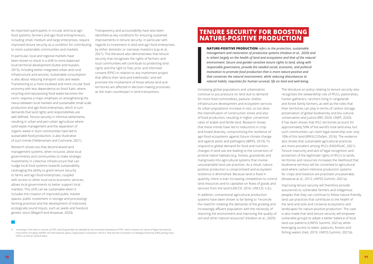### **TENURE SECURITY FOR BOOSTING NATURE-POSITIVE PRODUCTION**

**NATURE-POSITIVE PRODUCTION** *refers to the protection, sustainable management and restoration of productive systems (Hodson et al., 2020) and is reliant largely on the health of land and ecosystems and that of the natural environment. Secure and gender-sensitive tenure rights to land, along with responsible governance, provide the needed social, economic, and political motivation to promote food production that is more nature-positive and that conserves the natural environment, while reducing disturbances to natural habits, requisites for human survival, life on land and well-being.*

Increasing global populations and urbanisation continue to put pressure on land due to demand for more food commodities, pasture, shelter, infrastructure development and ecosystem services. As urban populations increase in size, so too does the intensification of construction zones and also of food production, resulting in higher conversion rates of arable and fertile land. Research shows that these trends have led to reductions in crop and breed diversity, compromising the resilience of agri-food ecosystems against future climate change and against pests and pathogens (IBPES, 2019). To respond to global demand for food and nutrition, changes in land use are leading to the conversion of pristine native habitats (e.g. forests, grasslands and mangroves) into agricultural systems that involve unsustainable land use practices. As a result, naturepositive production is compromised and ecosystem resilience is diminished. Because land is fixed in quantity, there is ever increasing competition to control land resources and to capitalise on flows of goods and

The literature on policy relating to tenure security also recognises the stewardship role of IPLCs, pastoralists, hunter-gatherers, ranchers living in rangelands and forest family farmers, as well as the roles that their territories can play in terms of carbon storage, preservation of global biodiversity and bio-cultural conservation and justice (RRI, 2020; UNEP, 2020). It has been shown that IPLC territories account for approximately 50% of the world's total land area, but such communities can claim legal ownership over only 10% of this land (RRI/ILC/Oxfam, 2016). The evidence also shows that sustainable agricultural practices are more prevalent among IPLCs (FAO/FILAC, 2021). Tenure insecurity and lack of legal recognition and protection of the legitimate rights of IPLCs to lands, territories and resources increases the likelihood that biodiverse territory will be converted to agricultural land where carbon-intensive production systems for crops and livestock are practised unsustainably (Anseeuw at al., 2012; UNFSS Summit, 2021a).

services from the land (UNCCD, 2016; UNCCD, n.d.). In addition, conventional agricultural production systems have been shown to be failing to "reconcile the need for meeting the demands of the growing and increasingly affluent population with the necessity of restoring the environment and improving the quality of soil and other natural resources" (Hodson et al., 2020). Improving tenure security will therefore provide assurances to vulnerable farmers and indigenous peoples that they can continue to follow nature-friendly land use practices that contribute to the health of the land and soils and conserve ecosystems and landscapes for nature-positive production. The case is also made that land tenure security will empower vulnerable groups to adopt a better balance of local land use patterns (UNFSS Summit, 2021a), while leveraging access to water, pastures, forests and fishing waters (Veit, 2019; UNFSS Summit, 2021b).



<span id="page-5-0"></span>As important participants in circular and local agrifood systems, farmers and agri-food entrepreneurs, including small, medium and large enterprises, require improved tenure security as a condition for contributing to more sustainable communities and markets.

In particular, local and regional markets have been shown to result in a shift to more balanced local territorial development (Suttie and Hussein, 2015), including better integrated urban and rural infrastructure and services. Sustainable consumption is also about reducing transport costs and waste. Transitioning to a more localised and more circular food economy with less dependence on fossil fuels, where recycling and repurposing food waste becomes the norm, requires a major emphasis on strengthening the nexus between local markets and sustainable small‑scale production and agri-food enterprises, which in turn demands that land rights and responsibilities are well defined. Tenure security in informal settlements, resulting in urban and peri-urban agriculture where solid waste management and the separation of organic waste in slum communities have led to sustainable food production, is also illustrative of such trends (Teklemariam and Cochrane, 2021).

Research shows too that decentralised land management systems, when inclusive, allow local governments and communities to make strategic investments in collective infrastructure that can nudge local food systems towards sustainability. Leveraging the ability to grant tenure security to farms and agri‑food enterprises, coupled with access to other local socio-economic services, allows local governments to better support local markets. This shift can be sustainable when it includes the creation of improved public market spaces, public investment in storage and processing/ farming practices and the development of improved, ecologically sound inputs, such as seeds and livestock genetic stock (Wegerif and Anseeuw, 2020).

4 Including (1) the duty to consult, (2) FPIC and (3) good faith (as detailed by the normative framework of FPIC, which consists of a series of legal international instruments including UNDRIP, the International Labour Organization Convention 169 (ILO 169) and the Convention on Biological Diversity (CBD) among many others, as well as national laws).

Transparency and accountability have also been identified as key conditions for ensuring sustained improvements in tenure security, in particular with regards to investment in land and agri-food enterprises, by either domestic or overseas investors (Lay et al., 2021). The literature also demonstrates that tenure security that recognises the rights of farmers and local communities will contribute to protecting land rights and the right to free, prior and informed consent (FPIC) in relation to any investment project that affects their land and livelihoods,<sup>4</sup> and will promote the involvement of those whose land and territories are affected in decision-making processes as the main counterpart in land transactions.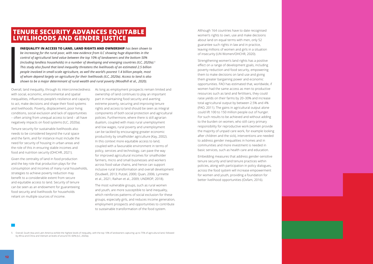Although 164 countries have to date recognised women's rights to own, use and make decisions about land on equal terms with men, only 52 guarantee such rights in law and in practice, leaving millions of women and girls in a situation of insecurity (UN Women/OHCHR, 2020).

Strengthening women's land rights has a positive effect on a range of development goals, including poverty reduction and food security, empowering them to make decisions on land use and giving them greater bargaining power and economic opportunities. FAO has estimated that, worldwide, if women had the same access as men to productive resources such as land and fertilisers, they could raise yields on their farms by 20–30% and increase total agricultural output by between 2.5% and 4% (FAO, 2011). The gains in agricultural output alone could lift 100 to 150 million people out of hunger. For such results to be achieved and without adding to the burden on women, who still carry primary responsibility for reproductive work (women provide the majority of unpaid care work, for example looking after children and the sick), interventions are needed to address gender inequalities in homes and in communities and more investment is needed in basic services, such as health care and education.

Embedding measures that address gender -sensitive tenure security and land tenure practices within policies, along with participation in policy dialogues, across the food system will increase empowerment for women and youth, providing a foundation for better livelihood opportunities (Oxfam, 2016).

### <span id="page-6-0"></span> **TENURE SECURITY ADVANCES EQUITABLE LIVELIHOODS AND GENDER JUSTICE**

**INEQUALITY IN ACCESS TO LAND, LAND RIGHTS AND OWNERSHIP** *has been shown to be increasing for the rural poor, with new evidence from ILC showing huge disparities in the control of agricultural land value between the top 10% of landowners and the bottom 50% (including landless households) in a number of developing and emerging countries (ILC, 2020a). 5 This study also found that land inequality threatens the livelihoods of an estimated 2.5 billion people involved in small -scale agriculture, as well the world's poorest 1.4 billion people, most of whom depend largely on agriculture for their livelihoods (ILC, 2020a). Access to land is also shown to be a major determinant of rural wealth and rural poverty (Woodhill et al., 2020).*

Overall, land inequality, through its interconnectedness As long as employment prospects remain limited and with social, economic, environmental and spatial inequalities, influences people's resilience and capacity to act, make decisions and shape their food systems and livelihoods. Poverty, displacement, poor living conditions, social exclusion and lack of opportunities – often arising from unequal access to land – all have negatively impacts on food systems (ILC, 2020a).

Tenure security for sustainable livelihoods also needs to be considered beyond the rural space and the farm, and for instance must include the need for security of housing in urban areas and the role of this in ensuring stable incomes and food and nutrition security (OHCHR, 2021).

Given the centrality of land in food production and the key role that production plays for the consumption and incomes of many rural households, strategies to achieve poverty reduction may benefit to a considerable extent from secure and equitable access to land. Security of tenure can be seen as an endowment for guaranteeing food security and livelihoods for households reliant on multiple sources of income.

ownership of land continues to play an important part in maintaining food security and averting extreme poverty, securing and improving tenure rights and access to land should be seen as integral components of both social protection and agricultural policies. Furthermore, where there is still agrarian dualism, coupled with mass rural unemployment and low wages, rural poverty and unemployment can be tackled by encouraging greater economic productivity by smallholder agriculture (Kay, 2002). In this context more equitable access to land, coupled with a favourable environment in terms of policy, services and technology, can pave the way for improved agricultural incomes for smallholder farmers, micro and small businesses and workers across food value chains, and hence can support inclusive rural transformation and overall development (Studwell, 2013; Putzel, 2000; Quan, 2006; Lynnette et al., 2021; Raihan et al., 2009; UNDROP, 2018).

The most vulnerable groups, such as rural women and youth, are more susceptible to land inequality, which reinforces patterns of social exclusion for these groups, especially girls, and reduces income generation, employment prospects and opportunities to contribute to sustainable transformation of the food system.

<sup>5</sup> Overall, South Asia and Latin America exhibit the highest levels of inequality, with the top 10% of landowners capturing up to 75% of agricultural land, followed by Africa and China and Vietnam at levels of around 55–60% (ILC, 2020a).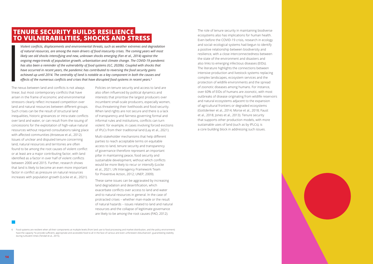

The role of tenure security in maintaining biodiverse ecosystems also has implications for human health. Even before the COVID -19 crisis, research in ecology and social–ecological systems had begun to identify a positive relationship between biodiversity and resilience, with a close interconnectedness between the state of the environment and disasters and also links to emerging infectious diseases (EIDs). The literature highlights the connections between intensive production and livestock systems replacing complex landscapes, ecosystem services and the protection of wildlife environments and the spread of zoonotic diseases among humans. For instance, over 60% of EIDs of humans are zoonotic, with most outbreaks of disease originating from wildlife reservoirs and natural ecosystems adjacent to the expansion of agricultural frontiers or degraded ecosystems (Gottdenker et al., 2014; Morse et al., 2018; Faust et al., 2018; Jones et al., 2013). Tenure security that supports other production models, with more sustainable uses of land (such as by IPLCs), is a core building block in addressing such issues.

### <span id="page-7-0"></span> **TENURE SECURITY BUILDS RESILIENCE TO VULNERABILITIES, SHOCKS AND STRESS**

*Violent conflicts, displacements and environmental threats, such as weather extremes and degradation of natural resources, are among the main drivers of food insecurity crises. The coming years will most likely see old shocks intensifying and new, unknown shocks emerging (Fan et al., 2014) against the ongoing mega-trends of population growth, urbanisation and climate change. The COVID-19 pandemic has also been a reminder of the vulnerability of food systems (ILC, 2020b). Coupled with shocks that have occurred in recent years, the pandemic has contributed to reversing the food security gains achieved up until 2014. The centrality of land is notable as a key component in both the causes and effects of the numerous conflicts and crises that have disrupted food systems in recent years. 6*

The nexus between land and conflicts is not always linear, but most contemporary conflicts that have arisen in the frame of economic and environmental stressors clearly reflect increased competition over land and natural resources between different groups. Such crises can be the result of structural land inequalities, historic grievances or intra -state conflicts over land and water, or can result from the issuing of concessions for the exploitation of high -value natural resources without required consultations taking place with affected communities (Anseeuw et al., 2012). Issues of unclear and disputed tenure concerning land, natural resources and territories are often found to be among the root causes of violent conflict or at least are a major contributing factor, with land identified as a factor in over half of violent conflicts between 2000 and 2015. Further, research shows that land is likely to become an even more important factor in conflict as pressure on natural resources increases with population growth (Locke et al., 2021).

Policies on tenure security and access to land are also often influenced by political dynamics and interests that prioritise the largest producers over incumbent small -scale producers, especially women, thus threatening their livelihoods and food security. When land rights are not secure and there is a lack of transparency and fairness governing formal and informal rules and institutions, conflicts can turn violent: for example, in cases involving forced evictions of IPLCs from their traditional land (Lay et al., 2021).

Multi -stakeholder mechanisms that help different parties to reach acceptable terms on equitable access to land, tenure security and transparency of governance therefore represent an important pillar in maintaining peace, food security and sustainable development, without which conflicts would be more likely to recur or intensify (Locke et al., 2021; UN Interagency Framework Team for Preventive Action, 2012; UNEP, 2009).

These same issues can be aggravated by increasing land degradation and desertification, which exacerbate conflicts over access to land and water and to natural resources in general. In the case of protracted crises – whether man -made or the result of natural hazards – issues related to land and natural resources and the collapse of legitimate governance are likely to be among the root causes (FAO, 2012).

<sup>6</sup> Food systems are resilient when all their components at multiple levels (from land use to food processing and market distribution, and the policy environment) have the capacity "to provide sufficient, appropriate and accessible food to all in the face of various and even unforeseen disturbances", guaranteeing stability during turbulent times (Tendall et al., 2015).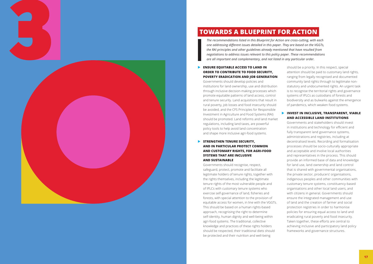<span id="page-8-0"></span>

# **TOWARDS A BLUEPRINT FOR ACTION**

*The recommendations listed in this Blueprint for Action are cross-cutting, with each one addressing different issues detailed in this paper. They are based on the VGGTs, the RAI principles and other guidelines already mentioned that have resulted from negotiations to address issues relevant to this policy paper. These recommendations are all important and complementary, and not listed in any particular order.*

#### **ENSURE EQUITABLE ACCESS TO LAND IN ORDER TO CONTRIBUTE TO FOOD SECURITY, POVERTY ERADICATION AND JOB GENERATION**

#### **EX STRENGTHEN TENURE SECURITY, AND IN PARTICULAR PROTECT COMMON AND CUSTOMARY RIGHTS, FOR AGRI‑FOOD SYSTEMS THAT ARE INCLUSIVE AND SUSTAINABLE**

Governments should recognise, respect, safeguard, protect, promote and facilitate all legitimate holders of tenure rights, together with the rights themselves, including the legitimate tenure rights of the most vulnerable people and of IPLCs with customary tenure systems who exercise self‑governance of land, fisheries and forests, with special attention to the provision of equitable access for women, in line with the VGGTs. This should be based on a human rights‑based approach, recognising the right to determine self -identity, human dignity and well‑being within agri -food systems. The traditional, collective knowledge and practices of these rights holders should be respected, their traditional diets should be protected and their nutrition and well-being

Governments should develop policies and institutions for land ownership, use and distribution through inclusive decision -making processes which promote equitable patterns of land access, control and tenure security. Land acquisitions that result in rural poverty, job losses and food insecurity should be avoided, and the CFS Principles for Responsible Investment in Agriculture and Food Systems (RAI) should be promoted. Land reforms and land market regulations, including land taxes, are powerful policy tools to help avoid land concentration and shape more inclusive agri -food systems.

#### **EX INVEST IN INCLUSIVE, TRANSPARENT, VIABLE AND ACCESSIBLE LAND INSTITUTIONS**

should be a priority. In this respect, special attention should be paid to customary land rights, ranging from legally recognised and documented community land rights through to legitimate non statutory and undocumented rights. An urgent task is to recognise the territorial rights and governance systems of IPLCs as custodians of forests and biodiversity and as bulwarks against the emergence of pandemics, which weaken food systems.

Governments and stakeholders should invest in institutions and technology for efficient and fully transparent land governance systems, administrations and registries, including at decentralised levels. Recording and formalisation processes should be socio -culturally appropriate and acceptable and involve local authorities and representatives in the process. This should provide an informed base of data and knowledge for land use, land ownership and land control that is shared with governmental organisations, the private sector, producers' organisations, indigenous peoples and other communities with customary tenure systems, constituency -based organisations and other local land users, and with citizens in general. Governments should ensure the integrated management and use of land and the creation of farmer and social protection registries in order to harmonise policies for ensuring equal access to land and eradicating rural poverty and food insecurity. Taken together, these efforts are central to achieving inclusive and participatory land policy frameworks and governance structures.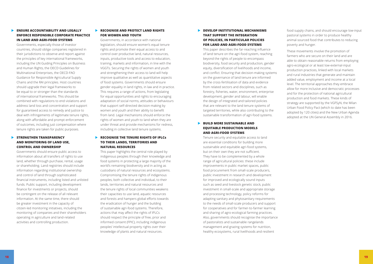#### **BEVELOP INSTITUTIONAL MECHANISMS THAT SUPPORT THE INTEGRATION OF POLICIES, IN PARTICULAR POLICIES FOR LAND AND AGRI-FOOD SYSTEMS**

#### **BUILD MORE SUSTAINABLE AND EQUITABLE PRODUCTION MODELS AND AGRI‑FOOD SYSTEMS**

This paper describes the far-reaching influence of land tenure on the agri-food system, reaching beyond the rights of people to encompass biodiversity, food security and production, gender equity, diversification of livelihoods and income, and conflict. Ensuring that decision-making systems on the governance of land tenure are informed by the cross-fertilisation of data and evidence from related sectors and disciplines, such as forestry, fisheries, water, environment, enterprise development, gender and labour, will enable the design of integrated and tailored policies that are relevant to the land tenure systems of targeted territories, while also contributing to the sustainable transformation of agri-food systems.

Tenure security and equitable access to land are essential conditions for building more sustainable and equitable agri-food systems, but on their own they are not sufficient. They have to be complemented by a whole range of agricultural policies: these include improvements in public market spaces, public food procurement from small-scale producers, public investment in research and development for improved and ecologically sound inputs such as seed and livestock genetic stock, public investment in small‑scale and appropriate storage and processing technology, policy reforms for adapting sanitary and phytosanitary requirements to the needs of small-scale producers and support for cooperatives and for farmer-to-farmer learning and sharing of agro‑ecological farming practices. Also, governments should recognise the importance of pastoralists and sustainable rangelands management and grazing systems for nutrition, healthy ecosystems, rural livelihoods and resilient

#### **ENSURE ACCOUNTABILITY AND LEGALLY ENFORCE RESPONSIBLE CORPORATE PRACTICE IN LAND AND AGRI-FOOD SYSTEMS**

#### **STRENGTHEN TRANSPARENCY AND MONITORING OF LAND USE, CONTROL AND OWNERSHIP**

food supply chains, and should encourage low‑input pastoral systems in order to produce healthy animal-sourced food that contributes to reducing poverty and hunger.

#### **RECOGNISE AND PROTECT LAND RIGHTS FOR WOMEN AND YOUTH**

These movements involve the promotion of farmers who are secure on their land and are able to obtain reasonable returns from employing agro-ecological or at least low-external-input production practices, linked with local markets and rural industries that generate and maintain added value, employment and income at a local level. The territorial approaches they embrace allow for more inclusive and democratic processes and for the protection of national agricultural production and food markets. These kinds of strategy are supported by the VGFSyN, the Milan Urban Food Policy Pact (which to date has been adopted by 120 cities) and the New Urban Agenda adopted at the UN General Assembly in 2016.

#### **RECOGNISE THE TENURE RIGHTS OF IPLCS TO THEIR LANDS, TERRITORIES AND NATURAL RESOURCES**

Governments, especially those of investor countries, should oblige companies registered in their jurisdictions to observe and report against the principles of key international frameworks, including the UN Guiding Principles on Business and Human Rights, the OECD Guidelines for Multinational Enterprises, the OECD-FAO Guidance for Responsible Agricultural Supply Chains and the RAI principles. Host countries should upgrade their legal frameworks to be equal to or stronger than the standards of international frameworks. This should be combined with regulations to end violations and address land loss and concentration and support for guaranteed access to remedy and justice to deal with infringements of legitimate tenure rights, along with affordable and prompt enforcement of outcomes, including just compensation where tenure rights are taken for public purposes.

Governments should ensure public access to information about all transfers of rights to use land, whether through purchase, rental, usage or shareholding. Land registries should include information regarding institutional ownership and control of land through sophisticated financial instruments, including listed and unlisted funds. Public support, including development finance for investments or projects, should be contingent on the release of all relevant information. At the same time, there should be greater investment in the capacity of citizen-led monitoring initiatives, including the monitoring of companies and their shareholders operating in agriculture and land‑related activities and controlling production.

Governments, in accordance with national legislation, should ensure women's equal tenure rights and promote their equal access to and control over productive land, natural resources, inputs, productive tools and access to education, training, markets and information, in line with the VGGTs. Securing the rights of women and youth and strengthening their access to land will help improve qualitative as well as quantitative aspects of food systems. Governments should ensure gender equality in land rights, in law and in practice. This requires a range of actions, from legislating for equal opportunities and rights to encouraging adaptation of social norms, attitudes or behaviours that support self-directed decision-making by women and youth and their ability to benefit from land. Legal mechanisms should enforce the rights of women and youth to land when they are under threat and provide mechanisms for redress, including in collective land tenure systems.

This paper highlights the central role played by indigenous peoples through their knowledge and food systems in protecting a large majority of the world's remaining biodiversity and in acting as custodians of natural resources and ecosystems. Compromising the tenure rights of indigenous peoples, both collective and individual, to their lands, territories and natural resources and the tenure rights of local communities weakens their capacities to use land, aquatic resources and forests and hampers global efforts towards the eradication of hunger and the building of sustainable agri-food systems. Therefore, actions that may affect the rights of IPLCs should respect the principle of free, prior and informed consent (FPIC), including indigenous peoples' intellectual property rights over their knowledge of plants and natural resources.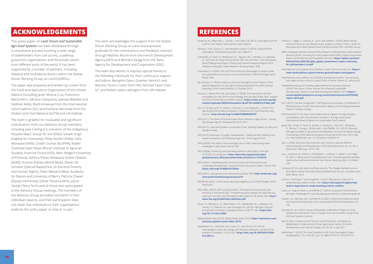# **REFERENCES**

- Anseeuw, W., Alden Wily, L., Cotula, L. and Taylor, M. (2012). Land rights and the Hodson, E., Niggli, U., Kitajima, K., Lal, R. and Sadoff, C. (2020). Boost Nature rush for land. Rome: International Land Coalition.
- Borras Jr., S.M., Franco, J.C. and Monsalve Suárez, S. (2015). Land and food sovereignty. Third World Quarterly, 36:3, 600-617.
- Castañeda, A., Doan, D., Newhouse, D.L., Nguyen, M.C., Uematsu, H., Azevedo, J.P. with Data for Goals Group (2016). Who Are the Poor in the Developing World? Background Paper: Poverty and Shared Prosperity Report 2016: Taking on Inequality. Policy Research Working Paper 7844.
- Chakrabarti, S. (2020). The Land Tenure Security Advantage: A catalytic asset for sustainable and inclusive rural transformation. IFAD Advantage Series. Rome: IFAD.
- De Schutter, O. (2010). Access to Land and the Right to Food. Report of the Special Rapporteur on the right to food presented at the 65th General Assembly of the United Nations, 21 October 2010.
- Duncan, J., Rivera-Ferre, M. and Claeys, P. (2020). The Importance of Food Sovereignty for the Farm to Fork Strategy and the New Green Deal. Insights and limits of the SAM and SAPEA reports. **[https://www.eurovia.org/wp](https://www.eurovia.org/wp-content/uploads/2020/05/Academic-Brief-F2F-20200514-FINAL.pdf)[content/uploads/2020/05/Academic-Brief-F2F-20200514-FINAL.pdf](https://www.eurovia.org/wp-content/uploads/2020/05/Academic-Brief-F2F-20200514-FINAL.pdf)**
- Fan, S., Pandya-Lorch, R., Yosef, S., Fritschel, H. and Zseleczky, L. (2014). The way forward for building resilience. In Resilience For Food Nutrition And Security. **<http://dx.doi.org/10.2499/9780896296787>**
- FAO (2011). The State of Food and Agriculture: Women in Agriculture Closing the Gender Gap for Development 2010–2011.
- FAO (2012). Land and people in protracted crises. Building Stability on the Land. Guidance Note.
- FAO (2014). Advances in hunger measurement. Traditional FAO methods and recent innovations. ESS Working Paper No. 14-04, August 2014.
- FAO (2020a). The State of Food and Agriculture 2020. Overcoming water challenges in agriculture. Rome: FAO.
- FAO (2020b). Protecting and promoting women's land rights in the face of COVID-19 and beyond. **[http://www.fao.org/partnerships/](http://www.fao.org/partnerships/parliamentary-alliances/news/news-article/en/c/1310413/) [parliamentary-alliances/news/news-article/en/c/1310413/](http://www.fao.org/partnerships/parliamentary-alliances/news/news-article/en/c/1310413/)**
- FAO (2020c). Unpacking water tenure for improved food security and sustainable development. Land and Water Discussion Papers. Rome: FAO. **<https://doi.org/10.4060/cb1230en>**
- FAO (2021). Land governance and planning. Rome: FAO. **[http://www.fao.org/](http://www.fao.org/land-water/land/land-governance/fr/) [land-water/land/land-governance/fr/](http://www.fao.org/land-water/land/land-governance/fr/)**
- FAO/FILAC (2021). Forest Governance by Indigenous and Tribal Peoples. Rome: FAO/FILAC.
- FAO, IFAD, UNICEF, WFP and WHO (2021). The State of Food Security and Nutrition in the World 2021: Transforming food systems for food security, improved nutrition and affordable healthy diets for all. Rome: FAO. **[http://](http://www.fao.org/3/cb4474en/cb4474en.pdf) [www.fao.org/3/cb4474en/cb4474en.pdf](http://www.fao.org/3/cb4474en/cb4474en.pdf)**
- Faust, C.L, McCallum, H.I., Bloomfield, L.S.P., Gottdenker, N.L., Gillespie, T.R., Torney, C.J., Dobson, A.P. and Plowright, R.K. (2018). Pathogen spillover during land conversion. Ecological Letters 21(4):471-483. **[https://doi.](https://doi.org/10.1111/ele.12904) [org/10.1111/ele.12904](https://doi.org/10.1111/ele.12904)**
- Global Waste Index (2019). Global Waste Index 2019. **[https://sensoneo.com/](https://sensoneo.com/sensoneo-global-waste-index-2019/) [sensoneo-global-waste-index-2019/](https://sensoneo.com/sensoneo-global-waste-index-2019/)**
- Gottdenker, N.L., Streicker, D.G., Faust, C.L. and Carroll, C.R. (2014). Anthropogenic land use change and infectious diseases: a review of the evidence. EcoHealth, 11:619–632. **[https://doi.org/10.1007%2Fs10393-](https://doi.org/10.1007%2Fs10393-014-0941-z) [014-0941-z](https://doi.org/10.1007%2Fs10393-014-0941-z)**
- Positive Production at Sufficient Scale: A paper on Action Track 3. Draft for Discussion by United Nations Food Systems Summit 2021 Scientific Group.
- IBPES-Intergovernmental Science-Policy Platform on Biodiversity and Ecosystem Services (2019). Summary for Policymakers of the IBPES Global Assessment Report on Biodiversity and Ecosystem Services. **[https://ipbes.net/sites/](https://ipbes.net/sites/default/files/2020-02/ipbes_global_assessment_report_summary_for_policymakers_en.pdf) [default/files/2020-02/ipbes\\_global\\_assessment\\_report\\_summary\\_](https://ipbes.net/sites/default/files/2020-02/ipbes_global_assessment_report_summary_for_policymakers_en.pdf) [for\\_policymakers\\_en.pdf](https://ipbes.net/sites/default/files/2020-02/ipbes_global_assessment_report_summary_for_policymakers_en.pdf)**
- International Land Coalition (ILC) (2020a). Uneven Ground. Rome: ILC. **[https://](https://www.landcoalition.org/en/uneven-ground/report-and-papers/) [www.landcoalition.org/en/uneven-ground/report-and-papers/](https://www.landcoalition.org/en/uneven-ground/report-and-papers/)**
- International Land Coalition (ILC) (2020b). Building back better: How securing land rights will be critical in a post-COVID-19 world. Rome: ILC, policy brief.
- Independent Group of Scientists appointed by the Secretary-General (2019). The Future is Now: Science for Achieving Sustainable Development. Global Sustainable Development Report 2019. **[https://](https://sustainabledevelopment.un.org/content/documents/24797GSDR_report_2019.pdf) [sustainabledevelopment.un.org/content/documents/24797GSDR\\_](https://sustainabledevelopment.un.org/content/documents/24797GSDR_report_2019.pdf) [report\\_2019.pdf](https://sustainabledevelopment.un.org/content/documents/24797GSDR_report_2019.pdf)**
- IPCC (2021). Climate Change 2021: The Physical Science Basis. Contribution of Working Group I to the Sixth Assessment Report of the Intergovernmental Panel on Climate Change.
- IPES-Food (2017). Too big to feed: Exploring the impacts of mega-mergers, consolidation and concentration of power in the agri-food sector. International Panel of Experts on Sustainable Food Systems.
- Jones, B.A., Grace, D., Kock, R., Alonso, S., Rushton, J., Said, M.Y., McKeever, D., Mutua, F., Young, J., McDermott, J. and Pfeiffer, D.U. (2013). Zoonosis emergence linked to agricultural intensification and environmental change. Proceedings of the National Academy of Sciences of the USA. 2013, May 21;110(21):8399-404. doi: 10.1073/pnas.1208059110
- Kay, C. (2002). Why East Asia Overtook Latin America: Agrarian Reform, Industrialisation and Development. Third World Quarterly, Vol. 23, No. 6 (December 2002), pp. 1073-1102.
- Lay, I., Anseeuw, W., Eckert, S., Flashsbarth, I., Kubitza, C., Nolte, K. and Giger, M. (2021). Taking stock of the global land rush. Few development benefits, many human and environmental risks. Rome, Hamburg, Bern: ILC/GIGA/ CDE.
- Landesa (2012). Land rights and food security. The linkages between secure land rights, women and improved household food security. Landesa, Issue Brief, March 2012.
- Locke, A., Domingo, P. and Langdown, I. (2021). Why land is important in understanding violent conflict. ODI. **[https://odi.org/en/insights/why](https://odi.org/en/insights/why-land-is-important-in-understanding-violent-conflict/)[land-is-important-in-understanding-violent-conflict/](https://odi.org/en/insights/why-land-is-important-in-understanding-violent-conflict/)**
- Losch, B., Freguin-Gresh, S. and White E.T. (2012). Structural Transformation Revisited. Challenges for Late Developing Countries in a Globalizing World.
- Lowder, S.K., Sánchez, M.V. and Bertini, R. (2021). Which farms feed the world and has farmland become more concentrated? World Development, Vol. 142.
- Lynnette M. et al. (2021). Advance Equitable Livelihoods: A Paper on Food Systems Summit Action Track 4. A paper from the Scientific Group of the UN Food Systems Summit.
- Ma, M. (2021). Insecure Land Tenure, Social Protection, and Resource Misallocation: Evidence from China's Agricultural Sector. Economic Development and Cultural Change, Vol. 69, No. 4, July 2021.
- McMichael, P. (2015). The Land Question in the Food Sovereignty Project. Globalizations, 12:4, 434-451. doi: 10.1080/14747731.2014.971615

## <span id="page-10-0"></span> **ACKNOWLEDGEMENTS**

This policy paper on *Land Tenure and Sustainable Agri-Food Systems* has been developed through a consultative process involving a wide range of stakeholders from civil society, academia, grassroots organisations and the private sector, from different parts of the world. It has been supported by a number of partners, including bilateral and multilateral donors within the Global Donor Working Group on Land (GDWGL).

The paper was prepared and written by a team from the Food and Agriculture Organization of the United Nations (including Javier Molina Cruz, Francesco Maria Pierri, Adriano Campolina, Samuel Mabikke and Siobhan Kelly), Ward Anseeuw from the International Land Coalition (ILC) and Everlyne Nairesiae from the Global Land Tool Network (GLTN) and UN-Habitat.

The team is grateful for invaluable and significant contributions from our Advisory Group members, including Joan Carling (Co-convenor of the Indigenous Peoples Major Group for the SDGs), Sanjee Singh (Habitat for Humanity), Philip Seufert (FIAN), Sofia Monsalve (FIAN), Cheikh Oumar Ba (IPAR), Walter Chambati (Sam Moyo African Institute of Agrarian Studies), Francine Picard (IISD), Marc Wegerif (University of Pretoria), Selmira Flores (Nitlapan), Esther Obaikol (IGAD), Victoria Stanley (World Bank), Olivier De Schutter (Special Rapporteur on Extreme Poverty and Human Rights), Peter Messerli (Wyss Academy for Nature and University of Bern), Patricia Chaves (Espaço Feminista), Esther Penunia (AFA), Jolyne Sanjak (Tetra Tech) and all those who participated in the Advisory Group meetings. The members of the Advisory Group provided comments in their individual capacity, and their participation does not mean that individuals or their organisations endorse this policy paper in total or in part.

The team acknowledges the support from the Global Donor Working Group on Land and expresses gratitude for the contributions and feedback received through Mathieu Boche from the French Development Agency (AFD) and Bernard Zaugg from the Swiss Agency for Development and Cooperation (SDC).

The team also wishes to express special thanks to the following individuals for their continuous support and advice: Benjamin Davis, Guenter Hemrich and Maximo Torero Cullen from FAO, Michael Taylor from ILC and Robert Lewis-Lettington from UN-Habitat.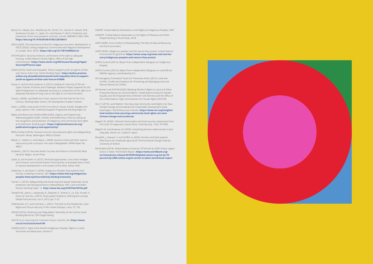- Morse S.S., Mazet, J.A.K., Woolhouse, M., Parish, C.R., Carroll, D., Karesh, W.B., Zambrana-Torrelio, C., Lipkin, W.I. and Daszak, P. (2012). Prediction and prevention of the next pandemic zoonosis. Lancet, 380(9857):1956-1965. **[https://doi.org/10.1016/S0140-6736\(12\)61684-5](https://doi.org/10.1016/S0140-6736(12)61684-5)**
- OECD (2020). The importance of land for Indigenous economic development. In OECD (2020). Linking Indigenous Communities with Regional Development in Canada. Paris: OECD. **<https://doi.org/10.1787/fa0f60c6-en>**
- OHCHR (2021). Security of tenure, cornerstone of the right to adequate housing. United Nations Human Rights, Office of the High Commissioner. **[https://www.ohchr.org/EN/Issues/Housing/Pages/](https://www.ohchr.org/EN/Issues/Housing/Pages/SecurityOfTenure.aspx) [SecurityOfTenure.aspx](https://www.ohchr.org/EN/Issues/Housing/Pages/SecurityOfTenure.aspx)**
- Oxfam (2016). Youth and Inequality: Time to support youth as agents of their own future. Even it Up. Oxfam Briefing Paper. **[https://policy-practice.](https://policy-practice.oxfam.org.uk/publications/youth-and-inequality-time-to-support-youth-as-agents-of-their-own-future-618006) [oxfam.org.uk/publications/youth-and-inequality-time-to-support](https://policy-practice.oxfam.org.uk/publications/youth-and-inequality-time-to-support-youth-as-agents-of-their-own-future-618006)[youth-as-agents-of-their-own-future-618006](https://policy-practice.oxfam.org.uk/publications/youth-and-inequality-time-to-support-youth-as-agents-of-their-own-future-618006)**
- Payne, G. and Durand-Lasserve, A. (2012). Holding On: Security of Tenure Types, Policies, Practices and Challenges. Research Paper prepared for the Special Rapporteur on adequate housing as a component of the right to an adequate standard of living, and on the right to non-discrimination.
- Putzel, J. (2000). Land Reforms in Asia: Lessons from the Past for the 21st Century. Working Paper Series, LSE Development Studies Institute.
- Quan, J. (2006). Land access in the 21st century: issues, trends, linkages and policy options. FAO: Livelihood Support Programme Working Paper 24.
- Rights and Resources Initiative (RRI) (2020). Urgency and Opportunity: Addressing global health, climate, and biodiversity crises by scaling-up the recognition and protection of indigenous and community land rights and livelihoods. Briefing paper. **[https://rightsandresources.org/](https://rightsandresources.org/publication/urgency-and-opportunity/) [publication/urgency-and-opportunity/](https://rightsandresources.org/publication/urgency-and-opportunity/)**
- RRI/ILC/Oxfam (2016). Common Ground: Securing land rights and safeguarding the Earth. Rome, Washington: RRI/ILC/Oxfam.
- Raihan, S., Fatehin, S. and Haque, I. (2009). Access to land and other natural resources by the rural poor: the case of Bangladesh. MPRA Paper No. 38621.
- Studwell, J. (2013). How Asia Works: Success and Failure in the World's Most Dynamic Region. Grove Press.
- Suttie, D. and Hussein, K. (2015). Territorial approaches, rural-urban linkages and inclusive rural transformation: Ensuring that rural people have a voice in national development in the context of the SDGs. Rome: IFAD.
- Swiderska, K. and Ryan, P. (2020). Indigenous Peoples' food systems hold the key to feeding humanity. IIED. **[https://www.iied.org/indigenous](https://www.iied.org/indigenous-peoples-food-systems-hold-key-feeding-humanity)[peoples-food-systems-hold-key-feeding-humanity](https://www.iied.org/indigenous-peoples-food-systems-hold-key-feeding-humanity)**
- Tanner, C. (2016). Safeguarding and enhancing land-based livelihoods. Social protection and land governance in Mozambique. FAO: Land and Water Division Working Paper 12. **<http://www.fao.org/3/i5574e/i5574e.pdf>**
- Tendall D.M., Joerin, J., Kopainsky, B., Edwards, P., Shreck, A., Le, Q.B., Kruetli, P., Grant, M. and Six, J. (2015). Food system resilience: Defining the concept. Global Food Security, Vol. 6, 2015, pp.17-23.
- Teklemariam, A.T. and Cochrane, L. (2021). The Rush to the Peripheries: Land Rights and Tenure Security in Peri-Urban Ethiopia. Land, 10, 193.
- UNCDD (2016). Achieving Land Degradation Neutrality at the Country Level: Building Blocks for LDN Target Setting.
- UNCCD (n.d.). Securing Our Common Future: Land for Life. **[https://www.](https://www.unccd.int/actions/land-life) [unccd.int/actions/land-life](https://www.unccd.int/actions/land-life)**
- UNDESA (2021). State of the World's Indigenous Peoples: Rights to Lands, Territories and Resources. Volume 5.
- UNDRIP. United Nations Declaration on the Rights of Indigenous Peoples, 2007.
- UNDROP. United Nations Declaration on the Rights of Peasants and Other People Working in Rural Areas, 2018.
- UNEP (2009). From Conflict to Peacebuilding: The Role of Natural Resources and the Environment.
- UNEP (2020). Indigenous peoples and the nature they protect. United Nations Environment Programme. **[https://www.unep.org/news-and-stories/](https://www.unep.org/news-and-stories/story/indigenous-peoples-and-nature-they-protect) [story/indigenous-peoples-and-nature-they-protect](https://www.unep.org/news-and-stories/story/indigenous-peoples-and-nature-they-protect)**
- UNFSS Summit (2021a). Report from Independent Dialogues on Indigenous Peoples.
- UNFSS Summit (2021b). Report from Independent Dialogues on Land (Africa/ EMENA regions), coordinated by ILC.
- UN Interagency Framework Team for Preventive Action (2012). Land and Conflict. Toolkit and Guidance for Preventing and Managing Land and Natural Resources Conflict.
- UN Women and OHCHR (2020). Realizing Women's Rights to Land and Other Productive Resources, Second Edition. United Nations Entity for Gender Equality and the Empowerment of Women (UN Women) and the Office of the United Nations High Commissioner for Human Rights (OHCHR).
- Veit, P. (2019). Land Matters: How Securing Community Land Rights Can Slow Climate Change and Accelerate the Sustainable Development Goals. Washington: World Resources Institute. **[https://www.wri.org/insights/](https://www.wri.org/insights/land-matters-how-securing-community-land-rights-can-slow-climate-change-and-accelerate) [land-matters-how-securing-community-land-rights-can-slow](https://www.wri.org/insights/land-matters-how-securing-community-land-rights-can-slow-climate-change-and-accelerate)[climate-change-and-accelerate](https://www.wri.org/insights/land-matters-how-securing-community-land-rights-can-slow-climate-change-and-accelerate)**
- Wegerif, M. (2020). "Informal" food traders and food security: experiences from the Covid-19 response in South Africa. Food Security, 12(4), 797-800.
- Wegerif, M. and Anseeuw, W. (2020). Unearthing the less visible trends in land inequality. Rome: ILC, research report.
- Woodhill, J., Hasnain, S. and Griffith, A. (2020). Farmers and food systems: What future for smallscale agriculture? Environmental Change Institute, University of Oxford.
- World Bank (2018). Global Waste to Grow by 70 Percent by 2050 Unless Urgent Action is Taken: World Bank Report. **[https://www.worldbank.org/](https://www.worldbank.org/en/news/press-release/2018/09/20/global-waste-to-grow-by-70-percent-by-2050-unless-urgent-action-is-taken-world-bank-report) [en/news/press-release/2018/09/20/global-waste-to-grow-by-70](https://www.worldbank.org/en/news/press-release/2018/09/20/global-waste-to-grow-by-70-percent-by-2050-unless-urgent-action-is-taken-world-bank-report) [percent-by-2050-unless-urgent-action-is-taken-world-bank-report](https://www.worldbank.org/en/news/press-release/2018/09/20/global-waste-to-grow-by-70-percent-by-2050-unless-urgent-action-is-taken-world-bank-report)**